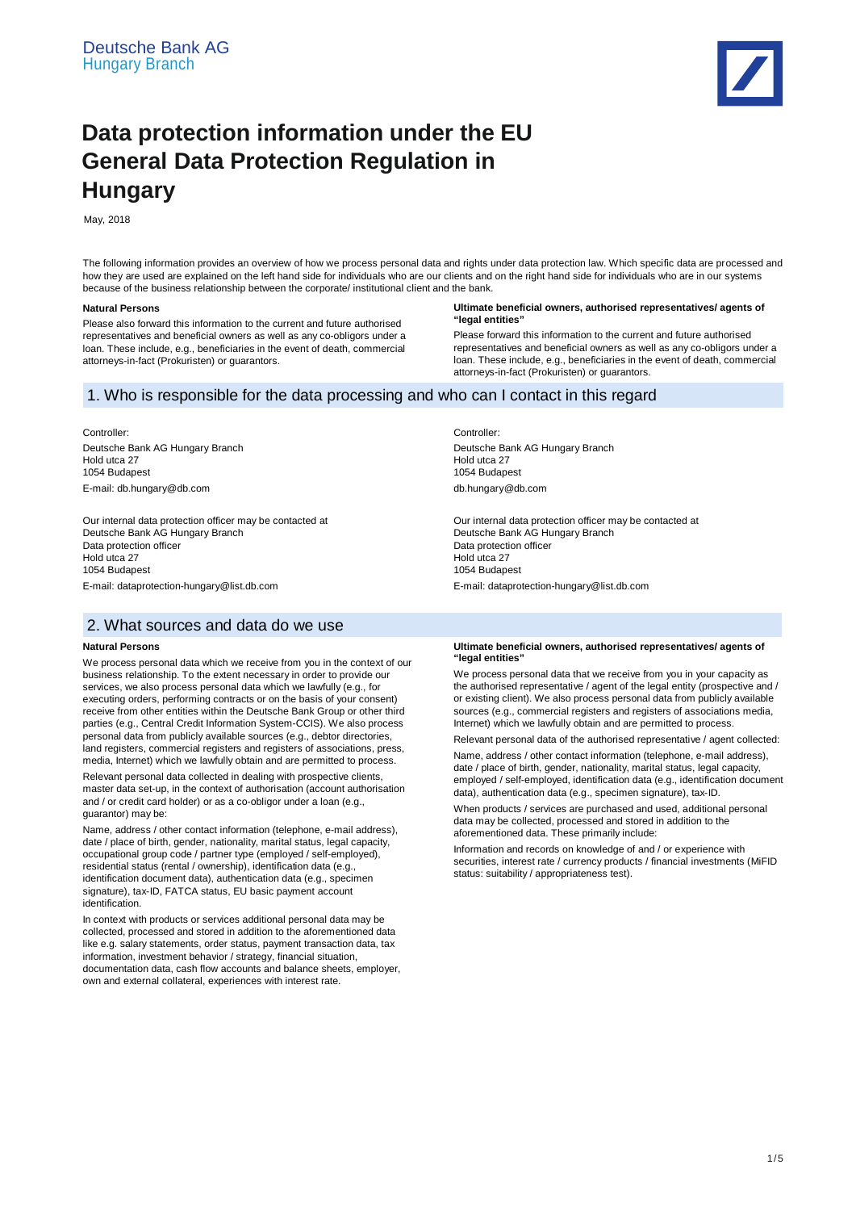

# **Data protection information under the EU General Data Protection Regulation in Hungary**

May, 2018

The following information provides an overview of how we process personal data and rights under data protection law. Which specific data are processed and how they are used are explained on the left hand side for individuals who are our clients and on the right hand side for individuals who are in our systems because of the business relationship between the corporate/ institutional client and the bank.

# **Natural Persons**

Please also forward this information to the current and future authorised representatives and beneficial owners as well as any co-obligors under a loan. These include, e.g., beneficiaries in the event of death, commercial attorneys-in-fact (Prokuristen) or guarantors.

#### **Ultimate beneficial owners, authorised representatives/ agents of "legal entities"**

Please forward this information to the current and future authorised representatives and beneficial owners as well as any co-obligors under a loan. These include, e.g., beneficiaries in the event of death, commercial attorneys-in-fact (Prokuristen) or guarantors.

# 1. Who is responsible for the data processing and who can I contact in this regard

Controller:

Deutsche Bank AG Hungary Branch Hold utca 27 1054 Budapest E-mail: db.hungary@db.com

Our internal data protection officer may be contacted at Deutsche Bank AG Hungary Branch Data protection officer Hold utca 27 1054 Budapest E-mail: dataprotection-hungary@list.db.com

# 2. What sources and data do we use

## **Natural Persons**

We process personal data which we receive from you in the context of our business relationship. To the extent necessary in order to provide our services, we also process personal data which we lawfully (e.g., for executing orders, performing contracts or on the basis of your consent) receive from other entities within the Deutsche Bank Group or other third parties (e.g., Central Credit Information System-CCIS). We also process personal data from publicly available sources (e.g., debtor directories, land registers, commercial registers and registers of associations, press, media, Internet) which we lawfully obtain and are permitted to process.

Relevant personal data collected in dealing with prospective clients, master data set-up, in the context of authorisation (account authorisation and / or credit card holder) or as a co-obligor under a loan (e.g., guarantor) may be:

Name, address / other contact information (telephone, e-mail address), date / place of birth, gender, nationality, marital status, legal capacity, occupational group code / partner type (employed / self-employed), residential status (rental / ownership), identification data (e.g., identification document data), authentication data (e.g., specimen signature), tax-ID, FATCA status, EU basic payment account identification.

In context with products or services additional personal data may be collected, processed and stored in addition to the aforementioned data like e.g. salary statements, order status, payment transaction data, tax information, investment behavior / strategy, financial situation, documentation data, cash flow accounts and balance sheets, employer, own and external collateral, experiences with interest rate.

Controller:

Deutsche Bank AG Hungary Branch Hold utca 27 1054 Budapest db.hungary@db.com

Our internal data protection officer may be contacted at Deutsche Bank AG Hungary Branch Data protection officer Hold utca 27 1054 Budapest E-mail: dataprotection-hungary@list.db.com

#### **Ultimate beneficial owners, authorised representatives/ agents of "legal entities"**

We process personal data that we receive from you in your capacity as the authorised representative / agent of the legal entity (prospective and / or existing client). We also process personal data from publicly available sources (e.g., commercial registers and registers of associations media, Internet) which we lawfully obtain and are permitted to process.

Relevant personal data of the authorised representative / agent collected:

Name, address / other contact information (telephone, e-mail address), date / place of birth, gender, nationality, marital status, legal capacity, employed / self-employed, identification data (e.g., identification document data), authentication data (e.g., specimen signature), tax-ID.

When products / services are purchased and used, additional personal data may be collected, processed and stored in addition to the aforementioned data. These primarily include:

Information and records on knowledge of and / or experience with securities, interest rate / currency products / financial investments (MiFID status: suitability / appropriateness test).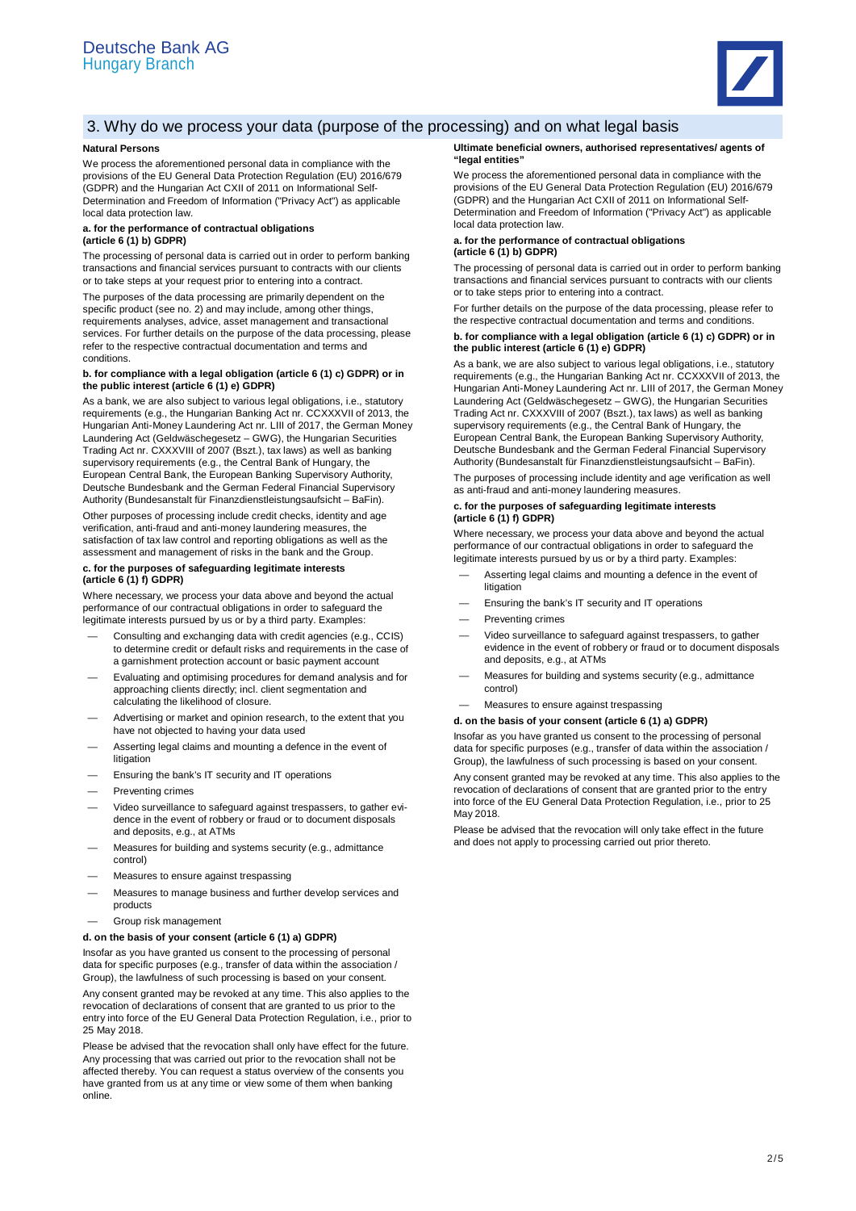

# 3. Why do we process your data (purpose of the processing) and on what legal basis

# **Natural Persons**

We process the aforementioned personal data in compliance with the provisions of the EU General Data Protection Regulation (EU) 2016/679 (GDPR) and the Hungarian Act CXII of 2011 on Informational Self-Determination and Freedom of Information ("Privacy Act") as applicable local data protection law.

# **a. for the performance of contractual obligations (article 6 (1) b) GDPR)**

The processing of personal data is carried out in order to perform banking transactions and financial services pursuant to contracts with our clients or to take steps at your request prior to entering into a contract.

The purposes of the data processing are primarily dependent on the specific product (see no. 2) and may include, among other things, requirements analyses, advice, asset management and transactional services. For further details on the purpose of the data processing, please refer to the respective contractual documentation and terms and conditions.

### **b. for compliance with a legal obligation (article 6 (1) c) GDPR) or in the public interest (article 6 (1) e) GDPR)**

As a bank, we are also subject to various legal obligations, i.e., statutory requirements (e.g., the Hungarian Banking Act nr. CCXXXVII of 2013, the Hungarian Anti-Money Laundering Act nr. LIII of 2017, the German Money Laundering Act (Geldwäschegesetz – GWG), the Hungarian Securities Trading Act nr. CXXXVIII of 2007 (Bszt.), tax laws) as well as banking supervisory requirements (e.g., the Central Bank of Hungary, the European Central Bank, the European Banking Supervisory Authority, Deutsche Bundesbank and the German Federal Financial Supervisory Authority (Bundesanstalt für Finanzdienstleistungsaufsicht – BaFin).

Other purposes of processing include credit checks, identity and age verification, anti-fraud and anti-money laundering measures, the satisfaction of tax law control and reporting obligations as well as the assessment and management of risks in the bank and the Group.

### **c. for the purposes of safeguarding legitimate interests (article 6 (1) f) GDPR)**

Where necessary, we process your data above and beyond the actual performance of our contractual obligations in order to safeguard the legitimate interests pursued by us or by a third party. Examples:

- Consulting and exchanging data with credit agencies (e.g., CCIS) to determine credit or default risks and requirements in the case of a garnishment protection account or basic payment account
- Evaluating and optimising procedures for demand analysis and for approaching clients directly; incl. client segmentation and calculating the likelihood of closure.
- Advertising or market and opinion research, to the extent that you have not objected to having your data used
- Asserting legal claims and mounting a defence in the event of litigation
- Ensuring the bank's IT security and IT operations
- Preventing crimes
- Video surveillance to safeguard against trespassers, to gather evidence in the event of robbery or fraud or to document disposals and deposits, e.g., at ATMs
- Measures for building and systems security (e.g., admittance control)
- Measures to ensure against trespassing
- Measures to manage business and further develop services and products
- Group risk management

# **d. on the basis of your consent (article 6 (1) a) GDPR)**

Insofar as you have granted us consent to the processing of personal data for specific purposes (e.g., transfer of data within the association / Group), the lawfulness of such processing is based on your consent.

Any consent granted may be revoked at any time. This also applies to the revocation of declarations of consent that are granted to us prior to the entry into force of the EU General Data Protection Regulation, i.e., prior to 25 May 2018.

Please be advised that the revocation shall only have effect for the future. Any processing that was carried out prior to the revocation shall not be affected thereby. You can request a status overview of the consents you have granted from us at any time or view some of them when banking online.

#### **Ultimate beneficial owners, authorised representatives/ agents of "legal entities"**

We process the aforementioned personal data in compliance with the provisions of the EU General Data Protection Regulation (EU) 2016/679 (GDPR) and the Hungarian Act CXII of 2011 on Informational Self-Determination and Freedom of Information ("Privacy Act") as applicable local data protection law.

#### **a. for the performance of contractual obligations (article 6 (1) b) GDPR)**

The processing of personal data is carried out in order to perform banking transactions and financial services pursuant to contracts with our clients or to take steps prior to entering into a contract.

For further details on the purpose of the data processing, please refer to the respective contractual documentation and terms and conditions.

# **b. for compliance with a legal obligation (article 6 (1) c) GDPR) or in the public interest (article 6 (1) e) GDPR)**

As a bank, we are also subject to various legal obligations, i.e., statutory requirements (e.g., the Hungarian Banking Act nr. CCXXXVII of 2013, the Hungarian Anti-Money Laundering Act nr. LIII of 2017, the German Money Laundering Act (Geldwäschegesetz – GWG), the Hungarian Securities Trading Act nr. CXXXVIII of 2007 (Bszt.), tax laws) as well as banking supervisory requirements (e.g., the Central Bank of Hungary, the European Central Bank, the European Banking Supervisory Authority, Deutsche Bundesbank and the German Federal Financial Supervisory Authority (Bundesanstalt für Finanzdienstleistungsaufsicht – BaFin).

The purposes of processing include identity and age verification as well as anti-fraud and anti-money laundering measures.

# **c. for the purposes of safeguarding legitimate interests (article 6 (1) f) GDPR)**

Where necessary, we process your data above and beyond the actual performance of our contractual obligations in order to safeguard the legitimate interests pursued by us or by a third party. Examples:

- Asserting legal claims and mounting a defence in the event of litigation
- Ensuring the bank's IT security and IT operations
- Preventing crimes
- Video surveillance to safeguard against trespassers, to gather evidence in the event of robbery or fraud or to document disposals and deposits, e.g., at ATMs
- Measures for building and systems security (e.g., admittance control)
- Measures to ensure against trespassing

## **d. on the basis of your consent (article 6 (1) a) GDPR)**

Insofar as you have granted us consent to the processing of personal data for specific purposes (e.g., transfer of data within the association / Group), the lawfulness of such processing is based on your consent.

Any consent granted may be revoked at any time. This also applies to the revocation of declarations of consent that are granted prior to the entry into force of the EU General Data Protection Regulation, i.e., prior to 25 May 2018.

Please be advised that the revocation will only take effect in the future and does not apply to processing carried out prior thereto.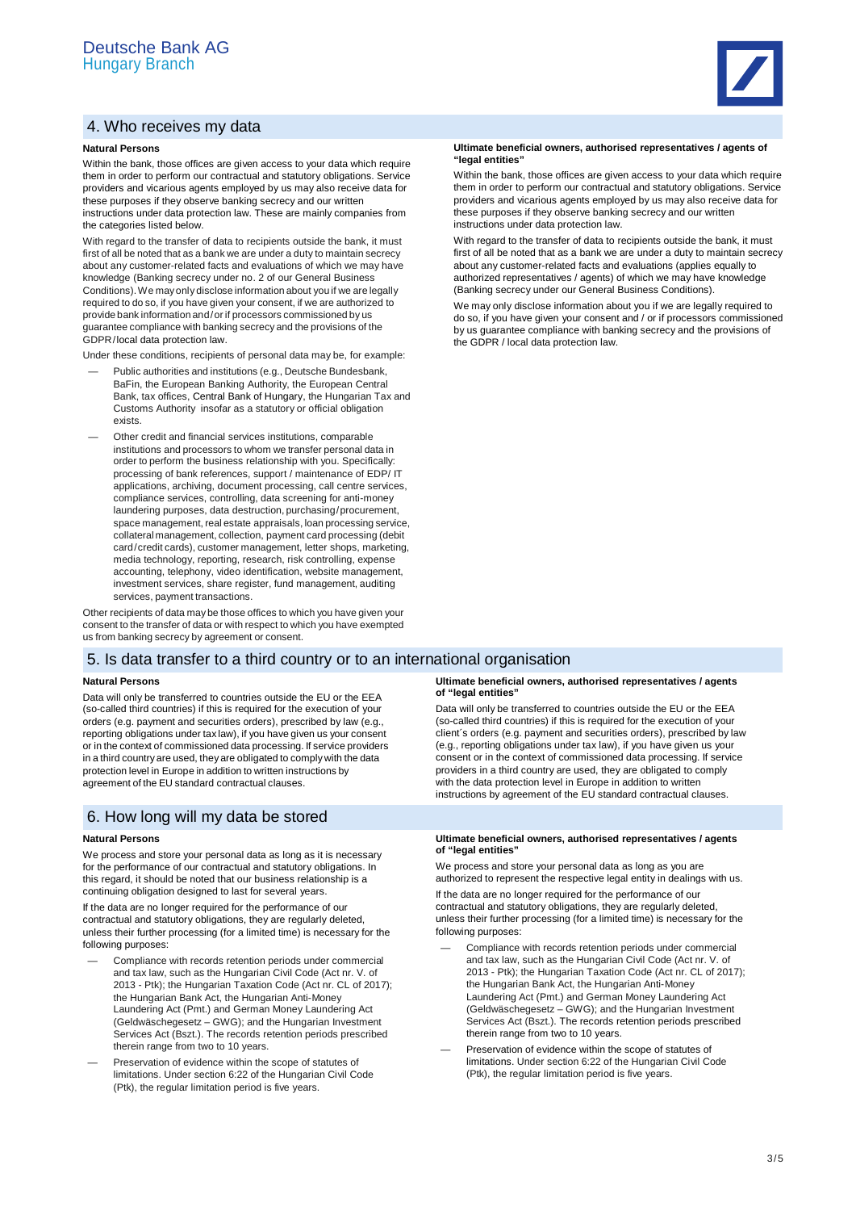# 4. Who receives my data

## **Natural Persons**

Within the bank, those offices are given access to your data which require them in order to perform our contractual and statutory obligations. Service providers and vicarious agents employed by us may also receive data for these purposes if they observe banking secrecy and our written instructions under data protection law. These are mainly companies from the categories listed below.

With regard to the transfer of data to recipients outside the bank, it must first of all be noted that as a bank we are under a duty to maintain secrecy about any customer-related facts and evaluations of which we may have knowledge (Banking secrecy under no. 2 of our General Business Conditions). We may only disclose information about you if we are legally required to do so, if you have given your consent, if we are authorized to provide bank information and / or if processors commissioned by us guarantee compliance with banking secrecy and the provisions of the GDPR /local data protection law.

Under these conditions, recipients of personal data may be, for example:

- Public authorities and institutions (e.g., Deutsche Bundesbank, BaFin, the European Banking Authority, the European Central Bank, tax offices, Central Bank of Hungary, the Hungarian Tax and Customs Authority insofar as a statutory or official obligation exists.
- Other credit and financial services institutions, comparable institutions and processors to whom we transfer personal data in order to perform the business relationship with you. Specifically: processing of bank references, support / maintenance of EDP/ IT applications, archiving, document processing, call centre services, compliance services, controlling, data screening for anti-money laundering purposes, data destruction, purchasing / procurement, space management, real estate appraisals, loan processing service, collateral management, collection, payment card processing (debit card/credit cards), customer management, letter shops, marketing, media technology, reporting, research, risk controlling, expense accounting, telephony, video identification, website management, investment services, share register, fund management, auditing services, payment transactions.

Other recipients of data may be those offices to which you have given your consent to the transfer of data or with respect to which you have exempted us from banking secrecy by agreement or consent.

# 5. Is data transfer to a third country or to an international organisation

# **Natural Persons**

Data will only be transferred to countries outside the EU or the EEA (so-called third countries) if this is required for the execution of your orders (e.g. payment and securities orders), prescribed by law (e.g., reporting obligations under tax law), if you have given us your consent or in the context of commissioned data processing. If service providers in a third country are used, they are obligated to comply with the data protection level in Europe in addition to written instructions by agreement of the EU standard contractual clauses.

# 6. How long will my data be stored

# **Natural Persons**

We process and store your personal data as long as it is necessary for the performance of our contractual and statutory obligations. In this regard, it should be noted that our business relationship is a continuing obligation designed to last for several years.

If the data are no longer required for the performance of our contractual and statutory obligations, they are regularly deleted, unless their further processing (for a limited time) is necessary for the following purposes:

- Compliance with records retention periods under commercial and tax law, such as the Hungarian Civil Code (Act nr. V. of 2013 - Ptk); the Hungarian Taxation Code (Act nr. CL of 2017); the Hungarian Bank Act, the Hungarian Anti-Money Laundering Act (Pmt.) and German Money Laundering Act (Geldwäschegesetz – GWG); and the Hungarian Investment Services Act (Bszt.). The records retention periods prescribed therein range from two to 10 years.
- Preservation of evidence within the scope of statutes of limitations. Under section 6:22 of the Hungarian Civil Code (Ptk), the regular limitation period is five years.

#### **Ultimate beneficial owners, authorised representatives / agents of "legal entities"**

Within the bank, those offices are given access to your data which require them in order to perform our contractual and statutory obligations. Service providers and vicarious agents employed by us may also receive data for these purposes if they observe banking secrecy and our written instructions under data protection law.

With regard to the transfer of data to recipients outside the bank, it must first of all be noted that as a bank we are under a duty to maintain secrecy about any customer-related facts and evaluations (applies equally to authorized representatives / agents) of which we may have knowledge (Banking secrecy under our General Business Conditions).

We may only disclose information about you if we are legally required to do so, if you have given your consent and / or if processors commissioned by us guarantee compliance with banking secrecy and the provisions of the GDPR / local data protection law.

### **Ultimate beneficial owners, authorised representatives / agents of "legal entities"**

Data will only be transferred to countries outside the EU or the EEA (so-called third countries) if this is required for the execution of your client´s orders (e.g. payment and securities orders), prescribed by law (e.g., reporting obligations under tax law), if you have given us your consent or in the context of commissioned data processing. If service providers in a third country are used, they are obligated to comply with the data protection level in Europe in addition to written instructions by agreement of the EU standard contractual clauses.

### **Ultimate beneficial owners, authorised representatives / agents of "legal entities"**

We process and store your personal data as long as you are authorized to represent the respective legal entity in dealings with us.

If the data are no longer required for the performance of our contractual and statutory obligations, they are regularly deleted, unless their further processing (for a limited time) is necessary for the following purposes:

- Compliance with records retention periods under commercial and tax law, such as the Hungarian Civil Code (Act nr. V. of 2013 - Ptk); the Hungarian Taxation Code (Act nr. CL of 2017); the Hungarian Bank Act, the Hungarian Anti-Money Laundering Act (Pmt.) and German Money Laundering Act (Geldwäschegesetz – GWG); and the Hungarian Investment Services Act (Bszt.). The records retention periods prescribed therein range from two to 10 years.
- Preservation of evidence within the scope of statutes of limitations. Under section 6:22 of the Hungarian Civil Code (Ptk), the regular limitation period is five years.

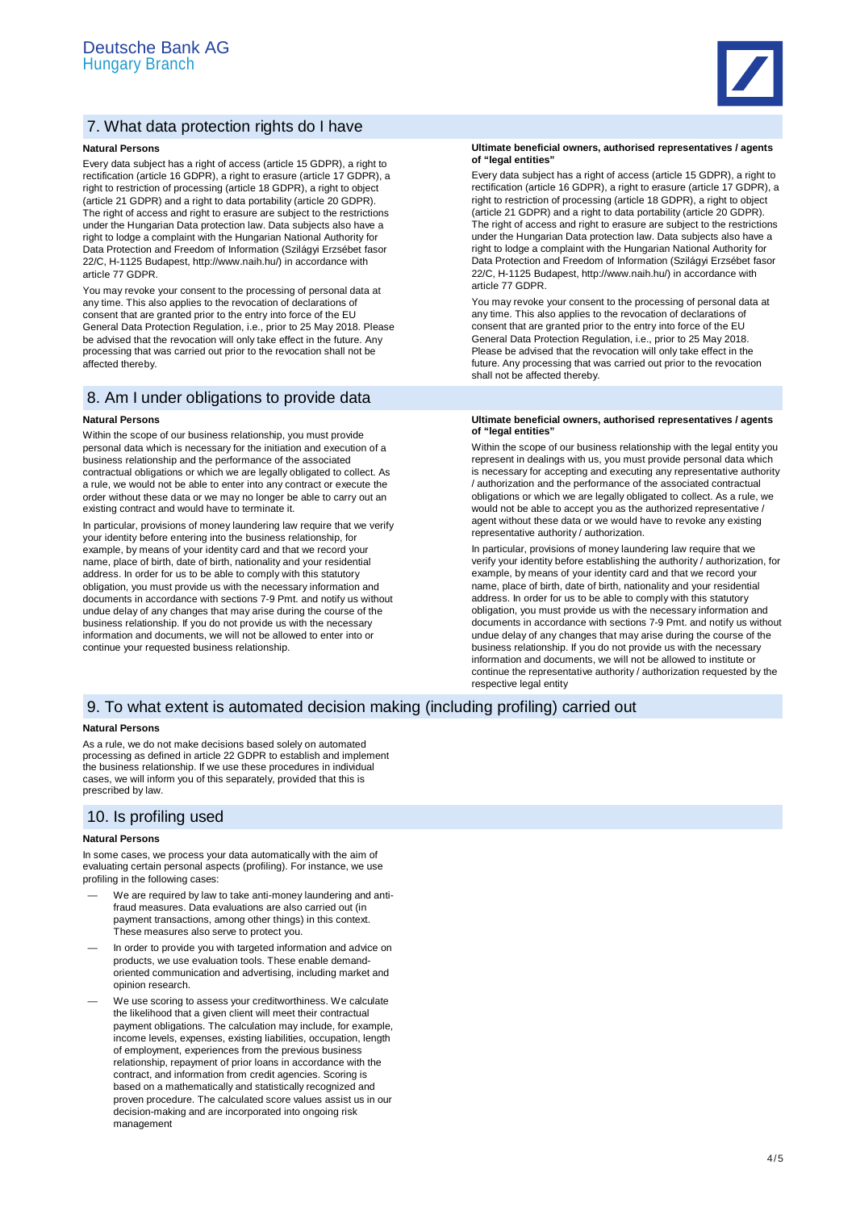

# 7. What data protection rights do I have

# **Natural Persons**

Every data subject has a right of access (article 15 GDPR), a right to rectification (article 16 GDPR), a right to erasure (article 17 GDPR), a right to restriction of processing (article 18 GDPR), a right to object (article 21 GDPR) and a right to data portability (article 20 GDPR). The right of access and right to erasure are subject to the restrictions under the Hungarian Data protection law. Data subjects also have a right to lodge a complaint with the Hungarian National Authority for Data Protection and Freedom of Information (Szilágyi Erzsébet fasor 22/C, H-1125 Budapest, http://www.naih.hu/) in accordance with article 77 GDPR.

You may revoke your consent to the processing of personal data at any time. This also applies to the revocation of declarations of consent that are granted prior to the entry into force of the EU General Data Protection Regulation, i.e., prior to 25 May 2018. Please be advised that the revocation will only take effect in the future. Any processing that was carried out prior to the revocation shall not be affected thereby.

# 8. Am I under obligations to provide data

## **Natural Persons**

Within the scope of our business relationship, you must provide personal data which is necessary for the initiation and execution of a business relationship and the performance of the associated contractual obligations or which we are legally obligated to collect. As a rule, we would not be able to enter into any contract or execute the order without these data or we may no longer be able to carry out an existing contract and would have to terminate it.

In particular, provisions of money laundering law require that we verify your identity before entering into the business relationship, for example, by means of your identity card and that we record your name, place of birth, date of birth, nationality and your residential address. In order for us to be able to comply with this statutory obligation, you must provide us with the necessary information and documents in accordance with sections 7-9 Pmt. and notify us without undue delay of any changes that may arise during the course of the business relationship. If you do not provide us with the necessary information and documents, we will not be allowed to enter into or continue your requested business relationship.

#### **Ultimate beneficial owners, authorised representatives / agents of "legal entities"**

Every data subject has a right of access (article 15 GDPR), a right to rectification (article 16 GDPR), a right to erasure (article 17 GDPR), a right to restriction of processing (article 18 GDPR), a right to object (article 21 GDPR) and a right to data portability (article 20 GDPR). The right of access and right to erasure are subject to the restrictions under the Hungarian Data protection law. Data subjects also have a right to lodge a complaint with the Hungarian National Authority for Data Protection and Freedom of Information (Szilágyi Erzsébet fasor 22/C, H-1125 Budapest, http://www.naih.hu/) in accordance with article 77 GDPR.

You may revoke your consent to the processing of personal data at any time. This also applies to the revocation of declarations of consent that are granted prior to the entry into force of the EU General Data Protection Regulation, i.e., prior to 25 May 2018. Please be advised that the revocation will only take effect in the future. Any processing that was carried out prior to the revocation shall not be affected thereby.

#### **Ultimate beneficial owners, authorised representatives / agents of "legal entities"**

Within the scope of our business relationship with the legal entity you represent in dealings with us, you must provide personal data which is necessary for accepting and executing any representative authority / authorization and the performance of the associated contractual obligations or which we are legally obligated to collect. As a rule, we would not be able to accept you as the authorized representative / agent without these data or we would have to revoke any existing representative authority / authorization.

In particular, provisions of money laundering law require that we verify your identity before establishing the authority / authorization, for example, by means of your identity card and that we record your name, place of birth, date of birth, nationality and your residential address. In order for us to be able to comply with this statutory obligation, you must provide us with the necessary information and documents in accordance with sections 7-9 Pmt. and notify us without undue delay of any changes that may arise during the course of the business relationship. If you do not provide us with the necessary information and documents, we will not be allowed to institute or continue the representative authority / authorization requested by the respective legal entity

# 9. To what extent is automated decision making (including profiling) carried out

## **Natural Persons**

As a rule, we do not make decisions based solely on automated processing as defined in article 22 GDPR to establish and implement the business relationship. If we use these procedures in individual cases, we will inform you of this separately, provided that this is prescribed by law.

# 10. Is profiling used

# **Natural Persons**

In some cases, we process your data automatically with the aim of evaluating certain personal aspects (profiling). For instance, we use profiling in the following cases

- We are required by law to take anti-money laundering and antifraud measures. Data evaluations are also carried out (in payment transactions, among other things) in this context. These measures also serve to protect you.
- In order to provide you with targeted information and advice on products, we use evaluation tools. These enable demandoriented communication and advertising, including market and opinion research.
- We use scoring to assess your creditworthiness. We calculate the likelihood that a given client will meet their contractual payment obligations. The calculation may include, for example, income levels, expenses, existing liabilities, occupation, length of employment, experiences from the previous business relationship, repayment of prior loans in accordance with the contract, and information from credit agencies. Scoring is based on a mathematically and statistically recognized and proven procedure. The calculated score values assist us in our decision-making and are incorporated into ongoing risk management